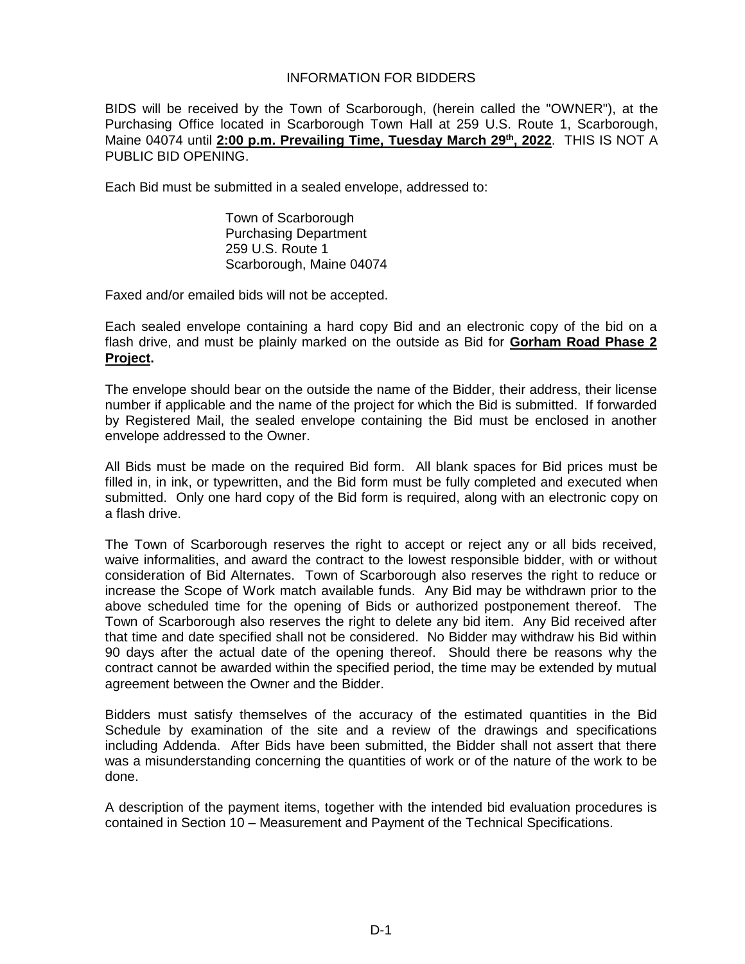## INFORMATION FOR BIDDERS

BIDS will be received by the Town of Scarborough, (herein called the "OWNER"), at the Purchasing Office located in Scarborough Town Hall at 259 U.S. Route 1, Scarborough, Maine 04074 until **2:00 p.m. Prevailing Time, Tuesday March 29 th, 2022**. THIS IS NOT A PUBLIC BID OPENING.

Each Bid must be submitted in a sealed envelope, addressed to:

Town of Scarborough Purchasing Department 259 U.S. Route 1 Scarborough, Maine 04074

Faxed and/or emailed bids will not be accepted.

Each sealed envelope containing a hard copy Bid and an electronic copy of the bid on a flash drive, and must be plainly marked on the outside as Bid for **Gorham Road Phase 2 Project.**

The envelope should bear on the outside the name of the Bidder, their address, their license number if applicable and the name of the project for which the Bid is submitted. If forwarded by Registered Mail, the sealed envelope containing the Bid must be enclosed in another envelope addressed to the Owner.

All Bids must be made on the required Bid form. All blank spaces for Bid prices must be filled in, in ink, or typewritten, and the Bid form must be fully completed and executed when submitted. Only one hard copy of the Bid form is required, along with an electronic copy on a flash drive.

The Town of Scarborough reserves the right to accept or reject any or all bids received, waive informalities, and award the contract to the lowest responsible bidder, with or without consideration of Bid Alternates. Town of Scarborough also reserves the right to reduce or increase the Scope of Work match available funds. Any Bid may be withdrawn prior to the above scheduled time for the opening of Bids or authorized postponement thereof. The Town of Scarborough also reserves the right to delete any bid item. Any Bid received after that time and date specified shall not be considered. No Bidder may withdraw his Bid within 90 days after the actual date of the opening thereof. Should there be reasons why the contract cannot be awarded within the specified period, the time may be extended by mutual agreement between the Owner and the Bidder.

Bidders must satisfy themselves of the accuracy of the estimated quantities in the Bid Schedule by examination of the site and a review of the drawings and specifications including Addenda. After Bids have been submitted, the Bidder shall not assert that there was a misunderstanding concerning the quantities of work or of the nature of the work to be done.

A description of the payment items, together with the intended bid evaluation procedures is contained in Section 10 – Measurement and Payment of the Technical Specifications.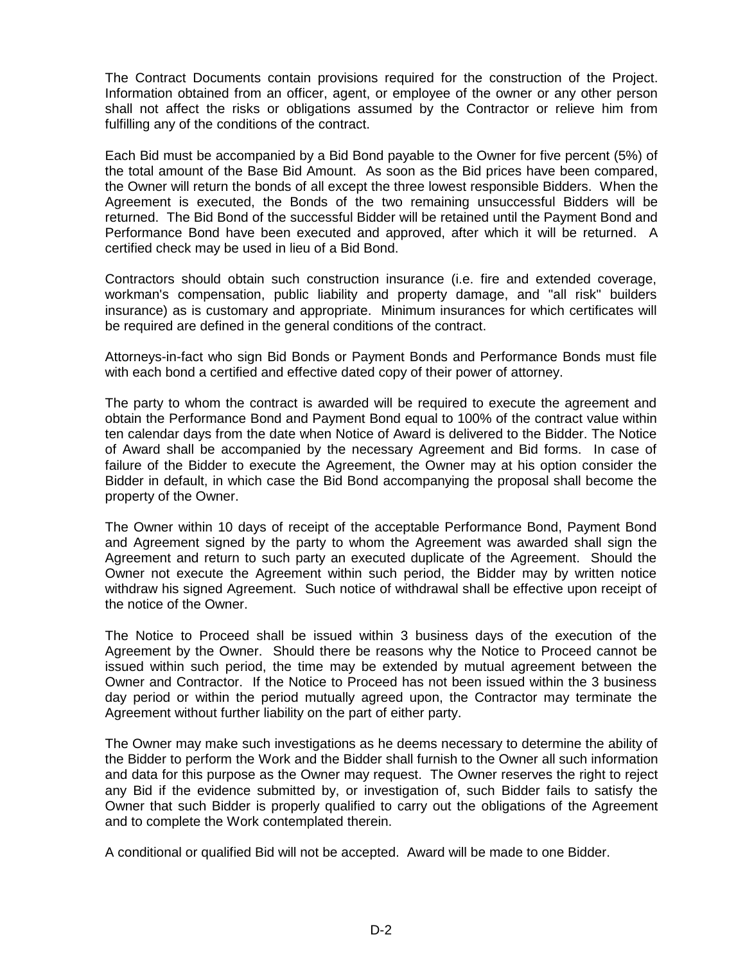The Contract Documents contain provisions required for the construction of the Project. Information obtained from an officer, agent, or employee of the owner or any other person shall not affect the risks or obligations assumed by the Contractor or relieve him from fulfilling any of the conditions of the contract.

Each Bid must be accompanied by a Bid Bond payable to the Owner for five percent (5%) of the total amount of the Base Bid Amount. As soon as the Bid prices have been compared, the Owner will return the bonds of all except the three lowest responsible Bidders. When the Agreement is executed, the Bonds of the two remaining unsuccessful Bidders will be returned. The Bid Bond of the successful Bidder will be retained until the Payment Bond and Performance Bond have been executed and approved, after which it will be returned. A certified check may be used in lieu of a Bid Bond.

Contractors should obtain such construction insurance (i.e. fire and extended coverage, workman's compensation, public liability and property damage, and "all risk" builders insurance) as is customary and appropriate. Minimum insurances for which certificates will be required are defined in the general conditions of the contract.

Attorneys-in-fact who sign Bid Bonds or Payment Bonds and Performance Bonds must file with each bond a certified and effective dated copy of their power of attorney.

The party to whom the contract is awarded will be required to execute the agreement and obtain the Performance Bond and Payment Bond equal to 100% of the contract value within ten calendar days from the date when Notice of Award is delivered to the Bidder. The Notice of Award shall be accompanied by the necessary Agreement and Bid forms. In case of failure of the Bidder to execute the Agreement, the Owner may at his option consider the Bidder in default, in which case the Bid Bond accompanying the proposal shall become the property of the Owner.

The Owner within 10 days of receipt of the acceptable Performance Bond, Payment Bond and Agreement signed by the party to whom the Agreement was awarded shall sign the Agreement and return to such party an executed duplicate of the Agreement. Should the Owner not execute the Agreement within such period, the Bidder may by written notice withdraw his signed Agreement. Such notice of withdrawal shall be effective upon receipt of the notice of the Owner.

The Notice to Proceed shall be issued within 3 business days of the execution of the Agreement by the Owner. Should there be reasons why the Notice to Proceed cannot be issued within such period, the time may be extended by mutual agreement between the Owner and Contractor. If the Notice to Proceed has not been issued within the 3 business day period or within the period mutually agreed upon, the Contractor may terminate the Agreement without further liability on the part of either party.

The Owner may make such investigations as he deems necessary to determine the ability of the Bidder to perform the Work and the Bidder shall furnish to the Owner all such information and data for this purpose as the Owner may request. The Owner reserves the right to reject any Bid if the evidence submitted by, or investigation of, such Bidder fails to satisfy the Owner that such Bidder is properly qualified to carry out the obligations of the Agreement and to complete the Work contemplated therein.

A conditional or qualified Bid will not be accepted. Award will be made to one Bidder.